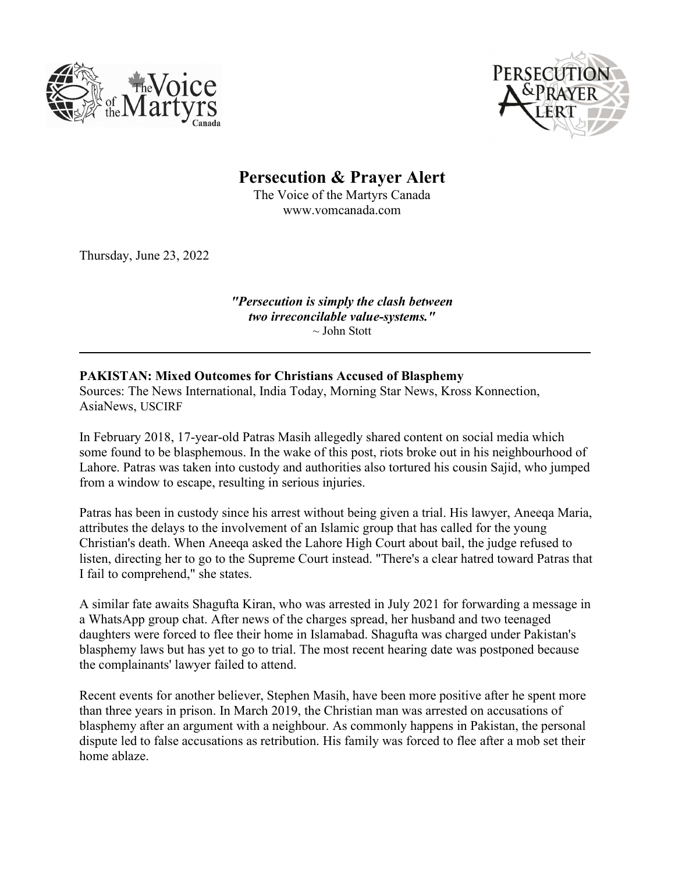



Persecution & Prayer Alert

The Voice of the Martyrs Canada www.vomcanada.com

Thursday, June 23, 2022

"Persecution is simply the clash between two irreconcilable value-systems."  $\sim$  John Stott

## PAKISTAN: Mixed Outcomes for Christians Accused of Blasphemy

Sources: The News International, India Today, Morning Star News, Kross Konnection, AsiaNews, USCIRF

In February 2018, 17-year-old Patras Masih allegedly shared content on social media which some found to be blasphemous. In the wake of this post, riots broke out in his neighbourhood of Lahore. Patras was taken into custody and authorities also tortured his cousin Sajid, who jumped from a window to escape, resulting in serious injuries.

Patras has been in custody since his arrest without being given a trial. His lawyer, Aneeqa Maria, attributes the delays to the involvement of an Islamic group that has called for the young Christian's death. When Aneeqa asked the Lahore High Court about bail, the judge refused to listen, directing her to go to the Supreme Court instead. "There's a clear hatred toward Patras that I fail to comprehend," she states.

A similar fate awaits Shagufta Kiran, who was arrested in July 2021 for forwarding a message in a WhatsApp group chat. After news of the charges spread, her husband and two teenaged daughters were forced to flee their home in Islamabad. Shagufta was charged under Pakistan's blasphemy laws but has yet to go to trial. The most recent hearing date was postponed because the complainants' lawyer failed to attend.

Recent events for another believer, Stephen Masih, have been more positive after he spent more than three years in prison. In March 2019, the Christian man was arrested on accusations of blasphemy after an argument with a neighbour. As commonly happens in Pakistan, the personal dispute led to false accusations as retribution. His family was forced to flee after a mob set their home ablaze.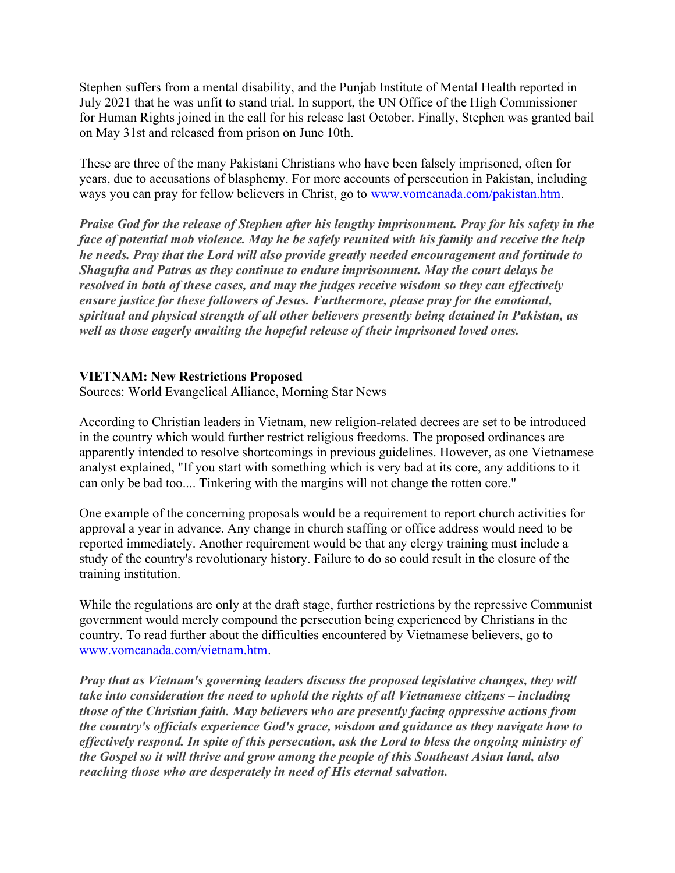Stephen suffers from a mental disability, and the Punjab Institute of Mental Health reported in July 2021 that he was unfit to stand trial. In support, the UN Office of the High Commissioner for Human Rights joined in the call for his release last October. Finally, Stephen was granted bail on May 31st and released from prison on June 10th.

These are three of the many Pakistani Christians who have been falsely imprisoned, often for years, due to accusations of blasphemy. For more accounts of persecution in Pakistan, including ways you can pray for fellow believers in Christ, go to www.vomcanada.com/pakistan.htm.

Praise God for the release of Stephen after his lengthy imprisonment. Pray for his safety in the face of potential mob violence. May he be safely reunited with his family and receive the help he needs. Pray that the Lord will also provide greatly needed encouragement and fortitude to Shagufta and Patras as they continue to endure imprisonment. May the court delays be resolved in both of these cases, and may the judges receive wisdom so they can effectively ensure justice for these followers of Jesus. Furthermore, please pray for the emotional, spiritual and physical strength of all other believers presently being detained in Pakistan, as well as those eagerly awaiting the hopeful release of their imprisoned loved ones.

## VIETNAM: New Restrictions Proposed

Sources: World Evangelical Alliance, Morning Star News

According to Christian leaders in Vietnam, new religion-related decrees are set to be introduced in the country which would further restrict religious freedoms. The proposed ordinances are apparently intended to resolve shortcomings in previous guidelines. However, as one Vietnamese analyst explained, "If you start with something which is very bad at its core, any additions to it can only be bad too.... Tinkering with the margins will not change the rotten core."

One example of the concerning proposals would be a requirement to report church activities for approval a year in advance. Any change in church staffing or office address would need to be reported immediately. Another requirement would be that any clergy training must include a study of the country's revolutionary history. Failure to do so could result in the closure of the training institution.

While the regulations are only at the draft stage, further restrictions by the repressive Communist government would merely compound the persecution being experienced by Christians in the country. To read further about the difficulties encountered by Vietnamese believers, go to www.vomcanada.com/vietnam.htm.

Pray that as Vietnam's governing leaders discuss the proposed legislative changes, they will take into consideration the need to uphold the rights of all Vietnamese citizens – including those of the Christian faith. May believers who are presently facing oppressive actions from the country's officials experience God's grace, wisdom and guidance as they navigate how to effectively respond. In spite of this persecution, ask the Lord to bless the ongoing ministry of the Gospel so it will thrive and grow among the people of this Southeast Asian land, also reaching those who are desperately in need of His eternal salvation.